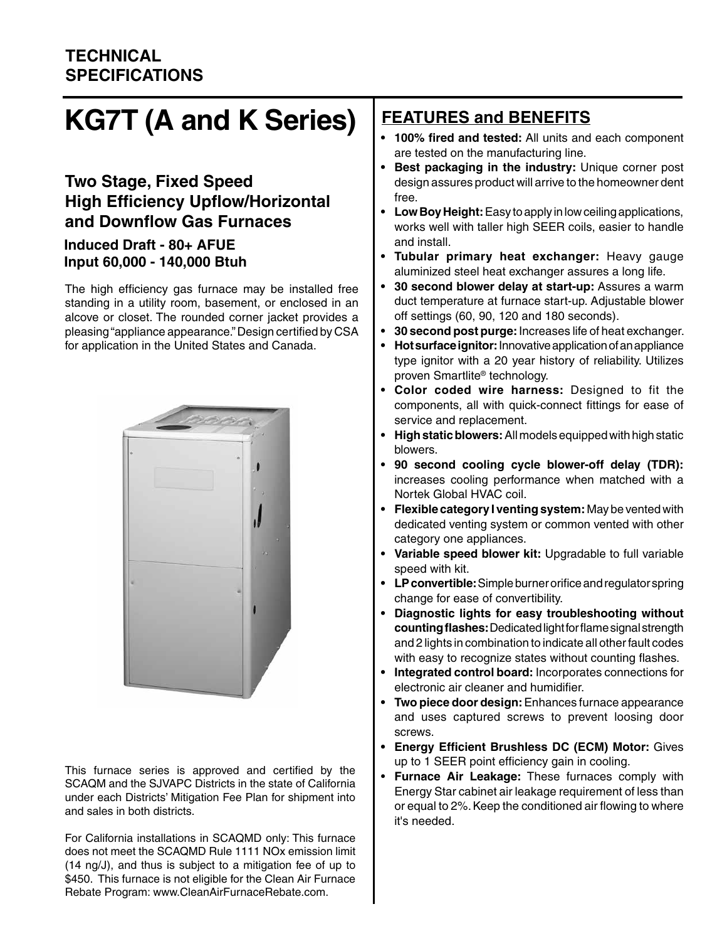#### **TECHNICAL SPECIFICATIONS**

# **KG7T (A and K Series)**

#### **Two Stage, Fixed Speed High Efficiency Upflow/Horizontal and Downflow Gas Furnaces**

#### **Induced Draft - 80+ AFUE Input 60,000 - 140,000 Btuh**

The high efficiency gas furnace may be installed free standing in a utility room, basement, or enclosed in an alcove or closet. The rounded corner jacket provides a pleasing "appliance appearance." Design certified by CSA for application in the United States and Canada.



This furnace series is approved and certified by the SCAQM and the SJVAPC Districts in the state of California under each Districts' Mitigation Fee Plan for shipment into and sales in both districts.

For California installations in SCAQMD only: This furnace does not meet the SCAQMD Rule 1111 NOx emission limit (14 ng/J), and thus is subject to a mitigation fee of up to \$450. This furnace is not eligible for the Clean Air Furnace Rebate Program: www.CleanAirFurnaceRebate.com.

#### **FEATURES and BENEFITS**

- **• 100% fired and tested:** All units and each component are tested on the manufacturing line.
- **• Best packaging in the industry:** Unique corner post design assures product will arrive to the homeowner dent free.
- **• Low Boy Height:** Easy to apply in low ceiling applications, works well with taller high SEER coils, easier to handle and install.
- **• Tubular primary heat exchanger:** Heavy gauge aluminized steel heat exchanger assures a long life.
- **• 30 second blower delay at start-up:** Assures a warm duct temperature at furnace start-up. Adjustable blower off settings (60, 90, 120 and 180 seconds).
- **• 30 second post purge:** Increases life of heat exchanger.
- **• Hot surface ignitor:** Innovative application of an appliance type ignitor with a 20 year history of reliability. Utilizes proven Smartlite® technology.
- **• Color coded wire harness:** Designed to fit the components, all with quick-connect fittings for ease of service and replacement.
- **• High static blowers:** All models equipped with high static blowers.
- **• 90 second cooling cycle blower-off delay (TDR):** increases cooling performance when matched with a Nortek Global HVAC coil.
- **• Flexible category I venting system:** May be vented with dedicated venting system or common vented with other category one appliances.
- **• Variable speed blower kit:** Upgradable to full variable speed with kit.
- **• LP convertible:** Simple burner orifice and regulator spring change for ease of convertibility.
- **• Diagnostic lights for easy troubleshooting without counting flashes:** Dedicated light for flame signal strength and 2 lights in combination to indicate all other fault codes with easy to recognize states without counting flashes.
- **• Integrated control board:** Incorporates connections for electronic air cleaner and humidifier.
- **• Two piece door design:** Enhances furnace appearance and uses captured screws to prevent loosing door screws.
- **• Energy Efficient Brushless DC (ECM) Motor:** Gives up to 1 SEER point efficiency gain in cooling.
- **Furnace Air Leakage:** These furnaces comply with Energy Star cabinet air leakage requirement of less than or equal to 2%. Keep the conditioned air flowing to where it's needed.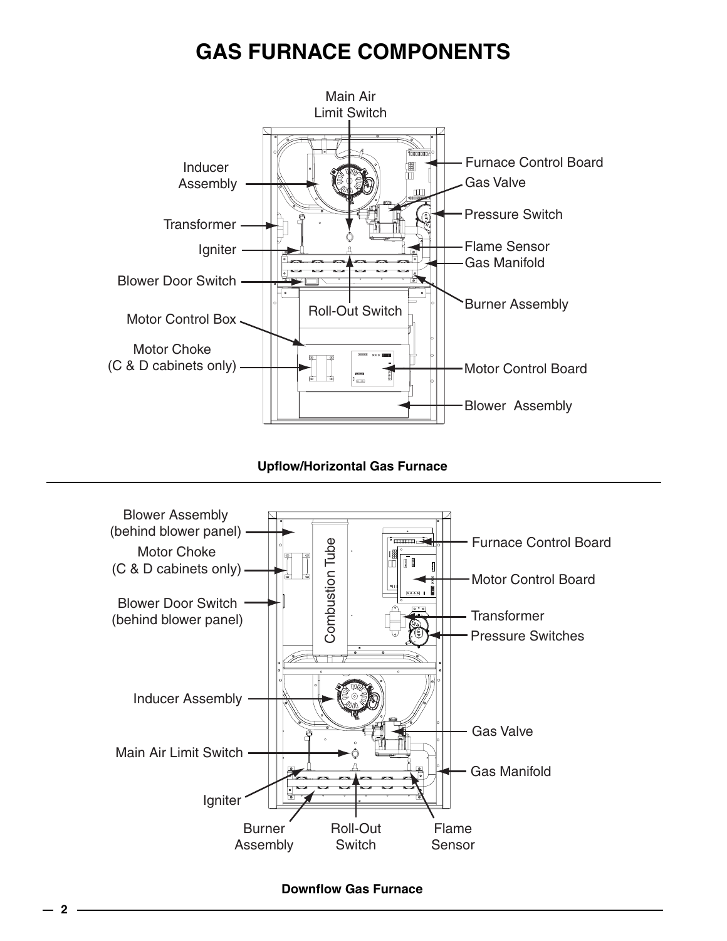## **GAS FURNACE COMPONENTS**



**Upflow/Horizontal Gas Furnace**



#### **Downflow Gas Furnace**

**2**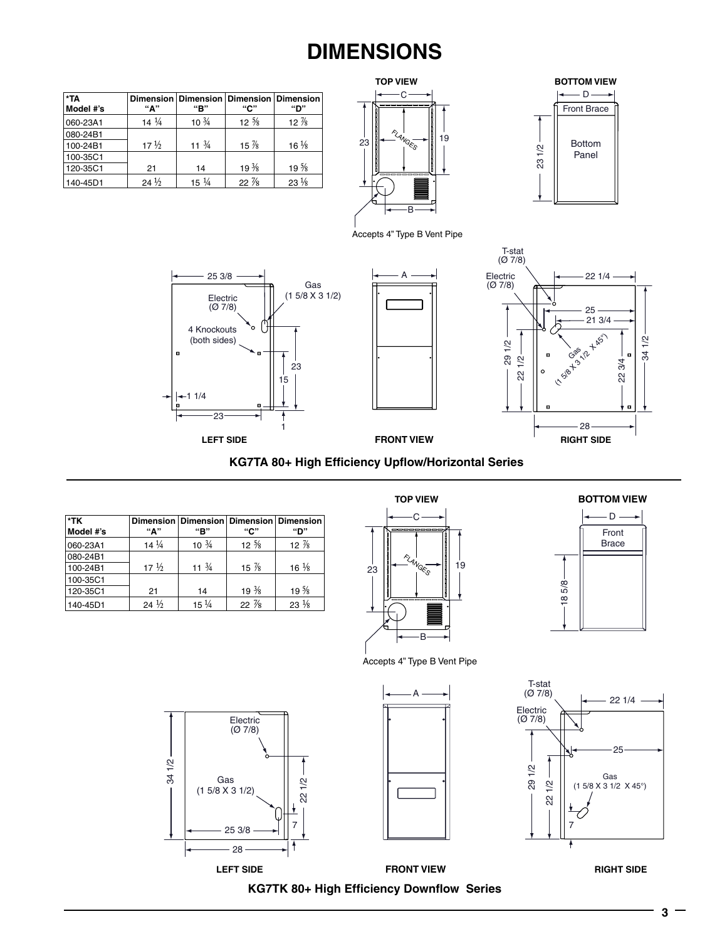## **DIMENSIONS**

| *TA<br>Model #'s | "А"             | "B"              | Dimension   Dimension   Dimension   Dimension<br>"С" | "D"             |
|------------------|-----------------|------------------|------------------------------------------------------|-----------------|
| 060-23A1         | $14\frac{1}{4}$ | $10\frac{3}{4}$  | $12 \frac{5}{8}$                                     | $12\%$          |
| 080-24B1         |                 |                  |                                                      |                 |
| 100-24B1         | $17\frac{1}{2}$ | 11 $\frac{3}{4}$ | $15\%$                                               | $16\frac{1}{8}$ |
| 100-35C1         |                 |                  |                                                      |                 |
| 120-35C1         | 21              | 14               | $19\frac{3}{8}$                                      | $19\frac{5}{8}$ |
| 140-45D1         | $24\frac{1}{2}$ | $15\frac{1}{4}$  | $22\frac{7}{8}$                                      | $23\frac{1}{8}$ |





Accepts 4" Type B Vent Pipe

A







**KG7TA 80+ High Efficiency Upflow/Horizontal Series**

| *TK<br>Model #'s | "А"             | Dimension   Dimension   Dimension   Dimension<br>"В" | "С"              | "D"              |
|------------------|-----------------|------------------------------------------------------|------------------|------------------|
| 060-23A1         | $14\frac{1}{4}$ | $10^{3}/4$                                           | $12 \frac{5}{8}$ | 12 $\frac{7}{8}$ |
| 080-24B1         |                 |                                                      |                  |                  |
| 100-24B1         | $17\frac{1}{2}$ | 11 $\frac{3}{4}$                                     | 15 $%$           | $16\frac{1}{8}$  |
| 100-35C1         |                 |                                                      |                  |                  |
| 120-35C1         | 21              | 14                                                   | $19\frac{3}{8}$  | $19\frac{5}{8}$  |
| 140-45D1         | $24\frac{1}{2}$ | $15\frac{1}{4}$                                      | $22\%$           | $23\frac{1}{8}$  |





Accepts 4" Type B Vent Pipe



**3**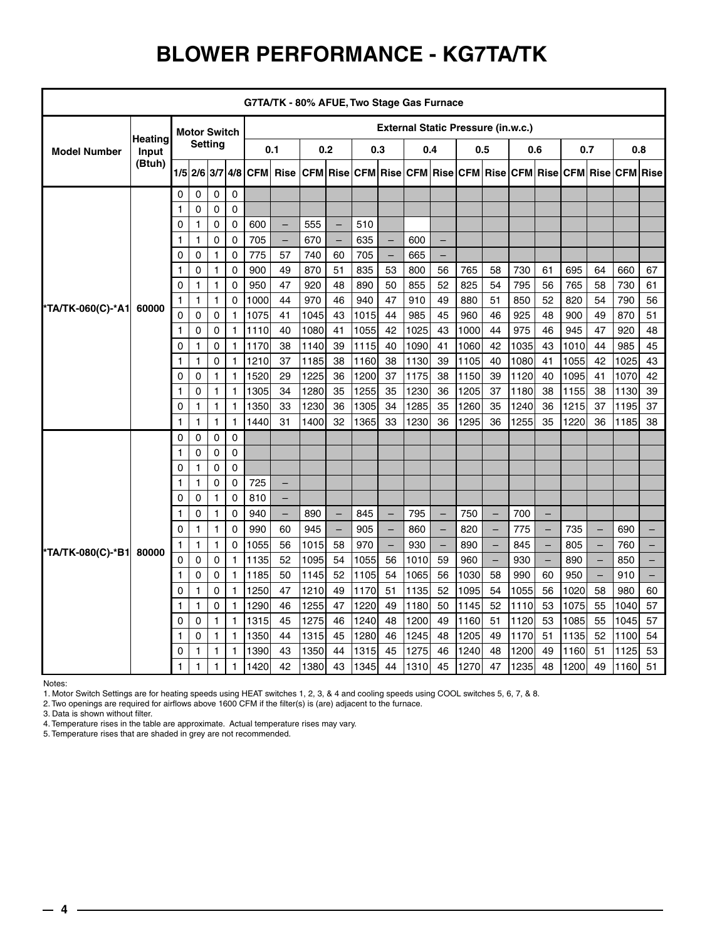## **BLOWER PERFORMANCE - KG7TA/TK**

| G7TA/TK - 80% AFUE, Two Stage Gas Furnace |                |              |                     |              |              |                                           |                                                                                      |      |                   |      |                          |      |                          |      |                          |      |                          |      |                   |      |                   |
|-------------------------------------------|----------------|--------------|---------------------|--------------|--------------|-------------------------------------------|--------------------------------------------------------------------------------------|------|-------------------|------|--------------------------|------|--------------------------|------|--------------------------|------|--------------------------|------|-------------------|------|-------------------|
|                                           |                |              | <b>Motor Switch</b> |              |              | <b>External Static Pressure (in.w.c.)</b> |                                                                                      |      |                   |      |                          |      |                          |      |                          |      |                          |      |                   |      |                   |
| <b>Model Number</b><br>Input              | <b>Heating</b> |              | <b>Setting</b>      |              |              |                                           | 0.1                                                                                  |      | 0.2               |      | 0.3                      |      | 0.4                      | 0.5  |                          | 0.6  |                          | 0.7  |                   | 0.8  |                   |
|                                           | (Btuh)         |              | 1/5 2/6 3/7         |              |              |                                           | 4/8 CFM Rise CFM Rise CFM Rise CFM Rise CFM Rise CFM Rise CFM Rise CFM Rise CFM Rise |      |                   |      |                          |      |                          |      |                          |      |                          |      |                   |      |                   |
|                                           |                | $\Omega$     | 0                   | 0            | 0            |                                           |                                                                                      |      |                   |      |                          |      |                          |      |                          |      |                          |      |                   |      |                   |
|                                           |                | 1            | $\Omega$            | 0            | $\Omega$     |                                           |                                                                                      |      |                   |      |                          |      |                          |      |                          |      |                          |      |                   |      |                   |
|                                           |                | 0            | 1                   | 0            | 0            | 600                                       | $\qquad \qquad -$                                                                    | 555  | $\qquad \qquad -$ | 510  |                          |      |                          |      |                          |      |                          |      |                   |      |                   |
|                                           |                | 1            | 1                   | 0            | 0            | 705                                       | $\qquad \qquad -$                                                                    | 670  | $\qquad \qquad -$ | 635  | $\overline{\phantom{m}}$ | 600  | $\qquad \qquad -$        |      |                          |      |                          |      |                   |      |                   |
|                                           |                | 0            | 0                   | $\mathbf{1}$ | 0            | 775                                       | 57                                                                                   | 740  | 60                | 705  | $\overline{\phantom{m}}$ | 665  | $\qquad \qquad -$        |      |                          |      |                          |      |                   |      |                   |
|                                           |                | 1            | 0                   | $\mathbf{1}$ | 0            | 900                                       | 49                                                                                   | 870  | 51                | 835  | 53                       | 800  | 56                       | 765  | 58                       | 730  | 61                       | 695  | 64                | 660  | 67                |
|                                           |                | 0            | 1                   | $\mathbf{1}$ | 0            | 950                                       | 47                                                                                   | 920  | 48                | 890  | 50                       | 855  | 52                       | 825  | 54                       | 795  | 56                       | 765  | 58                | 730  | 61                |
|                                           |                | 1            | $\mathbf{1}$        | $\mathbf{1}$ | 0            | 1000                                      | 44                                                                                   | 970  | 46                | 940  | 47                       | 910  | 49                       | 880  | 51                       | 850  | 52                       | 820  | 54                | 790  | 56                |
| *TA/TK-060(C)-*A1                         | 60000          | $\Omega$     | $\Omega$            | $\mathbf 0$  | $\mathbf{1}$ | 1075                                      | 41                                                                                   | 1045 | 43                | 1015 | 44                       | 985  | 45                       | 960  | 46                       | 925  | 48                       | 900  | 49                | 870  | 51                |
|                                           |                | 1            | 0                   | $\mathbf 0$  | $\mathbf{1}$ | 1110                                      | 40                                                                                   | 1080 | 41                | 1055 | 42                       | 1025 | 43                       | 1000 | 44                       | 975  | 46                       | 945  | 47                | 920  | 48                |
|                                           |                | 0            | 1                   | 0            | $\mathbf{1}$ | 1170                                      | 38                                                                                   | 1140 | 39                | 1115 | 40                       | 1090 | 41                       | 1060 | 42                       | 1035 | 43                       | 1010 | 44                | 985  | 45                |
|                                           |                | 1            | $\mathbf{1}$        | 0            | $\mathbf{1}$ | 1210                                      | 37                                                                                   | 1185 | 38                | 1160 | 38                       | 1130 | 39                       | 1105 | 40                       | 1080 | 41                       | 1055 | 42                | 1025 | 43                |
|                                           |                | 0            | 0                   | $\mathbf{1}$ | $\mathbf{1}$ | 1520                                      | 29                                                                                   | 1225 | 36                | 1200 | 37                       | 1175 | 38                       | 1150 | 39                       | 1120 | 40                       | 1095 | 41                | 1070 | 42                |
|                                           |                | 1            | 0                   | $\mathbf{1}$ | $\mathbf{1}$ | 1305                                      | 34                                                                                   | 1280 | 35                | 1255 | 35                       | 1230 | 36                       | 1205 | 37                       | 1180 | 38                       | 1155 | 38                | 1130 | 39                |
|                                           |                | 0            | $\mathbf{1}$        | $\mathbf{1}$ | 1            | 1350                                      | 33                                                                                   | 1230 | 36                | 1305 | 34                       | 1285 | 35                       | 1260 | 35                       | 1240 | 36                       | 1215 | 37                | 1195 | 37                |
|                                           |                | $\mathbf{1}$ | $\mathbf{1}$        | $\mathbf{1}$ | $\mathbf{1}$ | 1440                                      | 31                                                                                   | 1400 | 32                | 1365 | 33                       | 1230 | 36                       | 1295 | 36                       | 1255 | 35                       | 1220 | 36                | 1185 | 38                |
|                                           |                | 0            | 0                   | 0            | $\Omega$     |                                           |                                                                                      |      |                   |      |                          |      |                          |      |                          |      |                          |      |                   |      |                   |
|                                           |                | 1            | $\Omega$            | 0            | 0            |                                           |                                                                                      |      |                   |      |                          |      |                          |      |                          |      |                          |      |                   |      |                   |
|                                           |                | 0            | $\mathbf{1}$        | 0            | 0            |                                           |                                                                                      |      |                   |      |                          |      |                          |      |                          |      |                          |      |                   |      |                   |
|                                           |                | 1            | 1                   | 0            | 0            | 725                                       | -                                                                                    |      |                   |      |                          |      |                          |      |                          |      |                          |      |                   |      |                   |
|                                           |                | 0            | 0                   | $\mathbf{1}$ | 0            | 810                                       | $\overline{\phantom{0}}$                                                             |      |                   |      |                          |      |                          |      |                          |      |                          |      |                   |      |                   |
|                                           |                | 1            | 0                   | $\mathbf{1}$ | 0            | 940                                       | -                                                                                    | 890  | $\qquad \qquad -$ | 845  | $\qquad \qquad -$        | 795  | $\qquad \qquad -$        | 750  |                          | 700  |                          |      |                   |      |                   |
|                                           |                | 0            | 1                   | $\mathbf{1}$ | 0            | 990                                       | 60                                                                                   | 945  | ÷                 | 905  | $\overline{\phantom{m}}$ | 860  | $\qquad \qquad -$        | 820  |                          | 775  | $\overline{\phantom{0}}$ | 735  |                   | 690  |                   |
| *TA/TK-080(C)-*B1                         | 80000          | 1            | $\mathbf{1}$        | $\mathbf{1}$ | 0            | 1055                                      | 56                                                                                   | 1015 | 58                | 970  | $\overline{\phantom{m}}$ | 930  | $\overline{\phantom{0}}$ | 890  | $\overline{\phantom{m}}$ | 845  | $\qquad \qquad -$        | 805  | $\qquad \qquad -$ | 760  | $\qquad \qquad -$ |
|                                           |                | 0            | 0                   | $\pmb{0}$    | $\mathbf{1}$ | 1135                                      | 52                                                                                   | 1095 | 54                | 1055 | 56                       | 1010 | 59                       | 960  |                          | 930  | $\qquad \qquad -$        | 890  |                   | 850  | $\qquad \qquad -$ |
|                                           |                | 1            | 0                   | 0            | $\mathbf{1}$ | 1185                                      | 50                                                                                   | 1145 | 52                | 1105 | 54                       | 1065 | 56                       | 1030 | 58                       | 990  | 60                       | 950  | $-$               | 910  | $-$               |
|                                           |                | 0            | $\mathbf{1}$        | 0            | $\mathbf{1}$ | 1250                                      | 47                                                                                   | 1210 | 49                | 1170 | 51                       | 1135 | 52                       | 1095 | 54                       | 1055 | 56                       | 1020 | 58                | 980  | 60                |
|                                           |                | 1            | 1                   | $\mathbf 0$  | $\mathbf{1}$ | 1290                                      | 46                                                                                   | 1255 | 47                | 1220 | 49                       | 1180 | 50                       | 1145 | 52                       | 1110 | 53                       | 1075 | 55                | 1040 | 57                |
|                                           |                | 0            | 0                   | $\mathbf{1}$ | $\mathbf{1}$ | 1315                                      | 45                                                                                   | 1275 | 46                | 1240 | 48                       | 1200 | 49                       | 1160 | 51                       | 1120 | 53                       | 1085 | 55                | 1045 | 57                |
|                                           |                | 1            | 0                   | $\mathbf{1}$ | $\mathbf{1}$ | 1350                                      | 44                                                                                   | 1315 | 45                | 1280 | 46                       | 1245 | 48                       | 1205 | 49                       | 1170 | 51                       | 1135 | 52                | 1100 | 54                |
|                                           |                | 0            | 1                   | $\mathbf{1}$ | $\mathbf{1}$ | 1390                                      | 43                                                                                   | 1350 | 44                | 1315 | 45                       | 1275 | 46                       | 1240 | 48                       | 1200 | 49                       | 1160 | 51                | 1125 | 53                |
|                                           |                | 1            | 1                   | $\mathbf{1}$ | $\mathbf{1}$ | 1420                                      | 42                                                                                   | 1380 | 43                | 1345 | 44                       | 1310 | 45                       | 1270 | 47                       | 1235 | 48                       | 1200 | 49                | 1160 | 51                |

Notes:

1. Motor Switch Settings are for heating speeds using HEAT switches 1, 2, 3, & 4 and cooling speeds using COOL switches 5, 6, 7, & 8.

2. Two openings are required for airflows above 1600 CFM if the filter(s) is (are) adjacent to the furnace.

3. Data is shown without filter.

4. Temperature rises in the table are approximate. Actual temperature rises may vary.

5. Temperature rises that are shaded in grey are not recommended.

 $-4 -$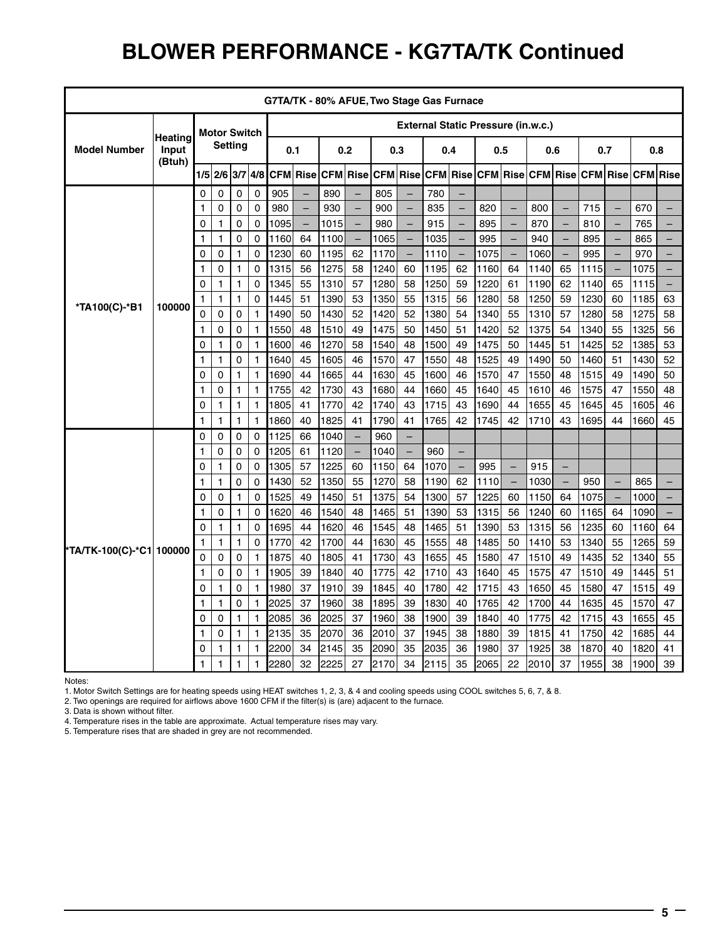### **BLOWER PERFORMANCE - KG7TA/TK Continued**

|                                        | G7TA/TK - 80% AFUE, Two Stage Gas Furnace |                |                     |              |              |                                           |          |      |                          |      |                          |      |                                                                                  |      |                          |       |                          |      |                          |      |                          |
|----------------------------------------|-------------------------------------------|----------------|---------------------|--------------|--------------|-------------------------------------------|----------|------|--------------------------|------|--------------------------|------|----------------------------------------------------------------------------------|------|--------------------------|-------|--------------------------|------|--------------------------|------|--------------------------|
|                                        |                                           |                | <b>Motor Switch</b> |              |              | <b>External Static Pressure (in.w.c.)</b> |          |      |                          |      |                          |      |                                                                                  |      |                          |       |                          |      |                          |      |                          |
| <b>Model Number</b><br>Input<br>(Btuh) | Heating                                   | <b>Setting</b> |                     | 0.1<br>0.2   |              |                                           | 0.3      |      |                          | 0.4  | 0.5                      |      | 0.6                                                                              |      | 0.7                      |       | 0.8                      |      |                          |      |                          |
|                                        |                                           | $1/5$ 2/6 3/7  |                     | 4/8          |              |                                           |          |      |                          |      |                          |      | CFM Rise CFM Rise CFM Rise CFM Rise CFM Rise CFM Rise CFM Rise CFM Rise CFM Rise |      |                          |       |                          |      |                          |      |                          |
|                                        |                                           | $\Omega$       | 0                   | 0            | $\mathbf 0$  | 905                                       |          | 890  |                          | 805  |                          | 780  |                                                                                  |      |                          |       |                          |      |                          |      |                          |
|                                        |                                           | 1              | 0                   | 0            | $\Omega$     | 980                                       | $\equiv$ | 930  | $\overline{\phantom{0}}$ | 900  | $\overline{\phantom{0}}$ | 835  | $\overline{\phantom{0}}$                                                         | 820  | $\overline{\phantom{0}}$ | 800   | $\overline{\phantom{0}}$ | 715  |                          | 670  | $\equiv$                 |
|                                        |                                           | 0              | 1                   | 0            | 0            | 1095                                      | $\equiv$ | 1015 | $\equiv$                 | 980  |                          | 915  | $\equiv$                                                                         | 895  | $\overline{a}$           | 870   | $\overline{a}$           | 810  |                          | 765  | $\equiv$                 |
|                                        |                                           | 1              | 1                   | 0            | 0            | 1160                                      | 64       | 1100 | $\overline{\phantom{0}}$ | 1065 | $\qquad \qquad -$        | 1035 | $\overline{\phantom{0}}$                                                         | 995  | $\overline{a}$           | 940   | $\overline{\phantom{0}}$ | 895  |                          | 865  | $\equiv$                 |
|                                        |                                           | 0              | 0                   | 1            | $\Omega$     | 1230                                      | 60       | 1195 | 62                       | 1170 | $\overline{\phantom{m}}$ | 1110 | $\overline{\phantom{m}}$                                                         | 1075 | $\overline{a}$           | 1060  | $\overline{\phantom{0}}$ | 995  | $\equiv$                 | 970  | $\equiv$                 |
|                                        |                                           | 1              | 0                   | 1            | $\Omega$     | 1315                                      | 56       | 1275 | 58                       | 1240 | 60                       | 1195 | 62                                                                               | 1160 | 64                       | 1140  | 65                       | 1115 | $\overline{\phantom{0}}$ | 1075 | $\overline{\phantom{0}}$ |
|                                        |                                           | 0              | 1                   | 1            | 0            | 1345                                      | 55       | 1310 | 57                       | 1280 | 58                       | 1250 | 59                                                                               | 1220 | 61                       | 1190  | 62                       | 1140 | 65                       | 1115 | $\qquad \qquad -$        |
| *TA100(C)-*B1                          | 100000                                    | 1              | 1                   | 1            | $\Omega$     | 1445                                      | 51       | 1390 | 53                       | 1350 | 55                       | 1315 | 56                                                                               | 1280 | 58                       | 1250  | 59                       | 1230 | 60                       | 1185 | 63                       |
|                                        |                                           | $\Omega$       | $\Omega$            | 0            | 1            | 1490                                      | 50       | 1430 | 52                       | 1420 | 52                       | 1380 | 54                                                                               | 1340 | 55                       | 1310  | 57                       | 1280 | 58                       | 1275 | 58                       |
|                                        |                                           | 1              | 0                   | 0            | $\mathbf{1}$ | 1550                                      | 48       | 1510 | 49                       | 1475 | 50                       | 1450 | 51                                                                               | 1420 | 52                       | 1375  | 54                       | 1340 | 55                       | 1325 | 56                       |
|                                        |                                           | 0              | 1                   | 0            | $\mathbf{1}$ | 1600                                      | 46       | 1270 | 58                       | 1540 | 48                       | 1500 | 49                                                                               | 1475 | 50                       | 1445  | 51                       | 1425 | 52                       | 1385 | 53                       |
|                                        |                                           | 1              | 1                   | 0            | $\mathbf{1}$ | 1640                                      | 45       | 1605 | 46                       | 1570 | 47                       | 1550 | 48                                                                               | 1525 | 49                       | 1490  | 50                       | 1460 | 51                       | 1430 | 52                       |
|                                        |                                           | 0              | 0                   | $\mathbf{1}$ | $\mathbf{1}$ | 1690                                      | 44       | 1665 | 44                       | 1630 | 45                       | 1600 | 46                                                                               | 1570 | 47                       | 1550  | 48                       | 1515 | 49                       | 1490 | 50                       |
|                                        |                                           | 1              | 0                   | 1            | $\mathbf{1}$ | 1755                                      | 42       | 1730 | 43                       | 1680 | 44                       | 1660 | 45                                                                               | 1640 | 45                       | 1610  | 46                       | 1575 | 47                       | 1550 | 48                       |
|                                        |                                           | 0              | 1                   | $\mathbf{1}$ | $\mathbf{1}$ | 1805                                      | 41       | 1770 | 42                       | 1740 | 43                       | 1715 | 43                                                                               | 1690 | 44                       | 1655  | 45                       | 1645 | 45                       | 1605 | 46                       |
|                                        |                                           | 1              | 1                   | $\mathbf{1}$ | $\mathbf{1}$ | 1860                                      | 40       | 1825 | 41                       | 1790 | 41                       | 1765 | 42                                                                               | 1745 | 42                       | 1710  | 43                       | 1695 | 44                       | 1660 | 45                       |
|                                        |                                           | 0              | 0                   | 0            | 0            | 1125                                      | 66       | 1040 |                          | 960  | $\equiv$                 |      |                                                                                  |      |                          |       |                          |      |                          |      |                          |
|                                        |                                           | 1              | 0                   | $\mathbf 0$  | 0            | 1205                                      | 61       | 1120 | $\overline{\phantom{m}}$ | 1040 | $\equiv$                 | 960  | ÷,                                                                               |      |                          |       |                          |      |                          |      |                          |
|                                        |                                           | 0              | 1                   | 0            | 0            | 1305                                      | 57       | 1225 | 60                       | 1150 | 64                       | 1070 | ÷,                                                                               | 995  | $\equiv$                 | 915   | $\equiv$                 |      |                          |      |                          |
|                                        |                                           | 1              | 1                   | 0            | 0            | 1430                                      | 52       | 1350 | 55                       | 1270 | 58                       | 1190 | 62                                                                               | 1110 | $\overline{\phantom{0}}$ | 1030  | $\qquad \qquad -$        | 950  |                          | 865  | -                        |
|                                        |                                           | 0              | 0                   | $\mathbf{1}$ | $\Omega$     | 1525                                      | 49       | 1450 | 51                       | 1375 | 54                       | 1300 | 57                                                                               | 1225 | 60                       | 1150  | 64                       | 1075 | $\overline{\phantom{m}}$ | 1000 | $\qquad \qquad -$        |
|                                        |                                           | 1              | 0                   | 1            | 0            | 1620                                      | 46       | 1540 | 48                       | 1465 | 51                       | 1390 | 53                                                                               | 1315 | 56                       | 1240  | 60                       | 1165 | 64                       | 1090 |                          |
|                                        |                                           | 0              | 1                   | 1            | 0            | 1695                                      | 44       | 1620 | 46                       | 1545 | 48                       | 1465 | 51                                                                               | 1390 | 53                       | 1315  | 56                       | 1235 | 60                       | 1160 | 64                       |
| *TA/TK-100(C)-*C1 100000               |                                           | 1              | 1                   | 1            | $\Omega$     | 1770                                      | 42       | 1700 | 44                       | 1630 | 45                       | 1555 | 48                                                                               | 1485 | 50                       | 1410  | 53                       | 1340 | 55                       | 1265 | 59                       |
|                                        |                                           | 0              | $\mathbf 0$         | 0            | $\mathbf{1}$ | 1875                                      | 40       | 1805 | 41                       | 1730 | 43                       | 1655 | 45                                                                               | 1580 | 47                       | 1510  | 49                       | 1435 | 52                       | 1340 | 55                       |
|                                        |                                           | 1              | 0                   | 0            | $\mathbf{1}$ | 1905                                      | 39       | 1840 | 40                       | 1775 | 42                       | 1710 | 43                                                                               | 1640 | 45                       | 1575  | 47                       | 1510 | 49                       | 1445 | 51                       |
|                                        |                                           | 0              | 1                   | 0            | $\mathbf{1}$ | 1980                                      | 37       | 1910 | 39                       | 1845 | 40                       | 1780 | 42                                                                               | 1715 | 43                       | 1650  | 45                       | 1580 | 47                       | 1515 | 49                       |
|                                        |                                           | 1              | 1                   | 0            | $\mathbf{1}$ | 2025                                      | 37       | 1960 | 38                       | 1895 | 39                       | 1830 | 40                                                                               | 1765 | 42                       | 1700  | 44                       | 1635 | 45                       | 1570 | 47                       |
|                                        |                                           | 0              | 0                   | 1            | $\mathbf{1}$ | 2085                                      | 36       | 2025 | 37                       | 1960 | 38                       | 1900 | 39                                                                               | 1840 | 40                       | 1775  | 42                       | 1715 | 43                       | 1655 | 45                       |
|                                        |                                           | 1              | 0                   | 1            | 1            | 2135                                      | 35       | 2070 | 36                       | 2010 | 37                       | 1945 | 38                                                                               | 1880 | 39                       | 1815  | 41                       | 1750 | 42                       | 1685 | 44                       |
|                                        |                                           | $\Omega$       | 1                   | 1            | $\mathbf{1}$ | 2200                                      | 34       | 2145 | 35                       | 2090 | 35                       | 2035 | 36                                                                               | 1980 | 37                       | 1925  | 38                       | 1870 | 40                       | 1820 | 41                       |
|                                        |                                           | 1              | 1                   | 1            | $\mathbf{1}$ | 2280                                      | 32       | 2225 | 27                       | 2170 | 34                       | 2115 | 35                                                                               | 2065 | 22                       | l2010 | 37                       | 1955 | 38                       | 1900 | 39                       |

Notes:

1. Motor Switch Settings are for heating speeds using HEAT switches 1, 2, 3, & 4 and cooling speeds using COOL switches 5, 6, 7, & 8.

2. Two openings are required for airflows above 1600 CFM if the filter(s) is (are) adjacent to the furnace.

3. Data is shown without filter.

4. Temperature rises in the table are approximate. Actual temperature rises may vary.

5. Temperature rises that are shaded in grey are not recommended.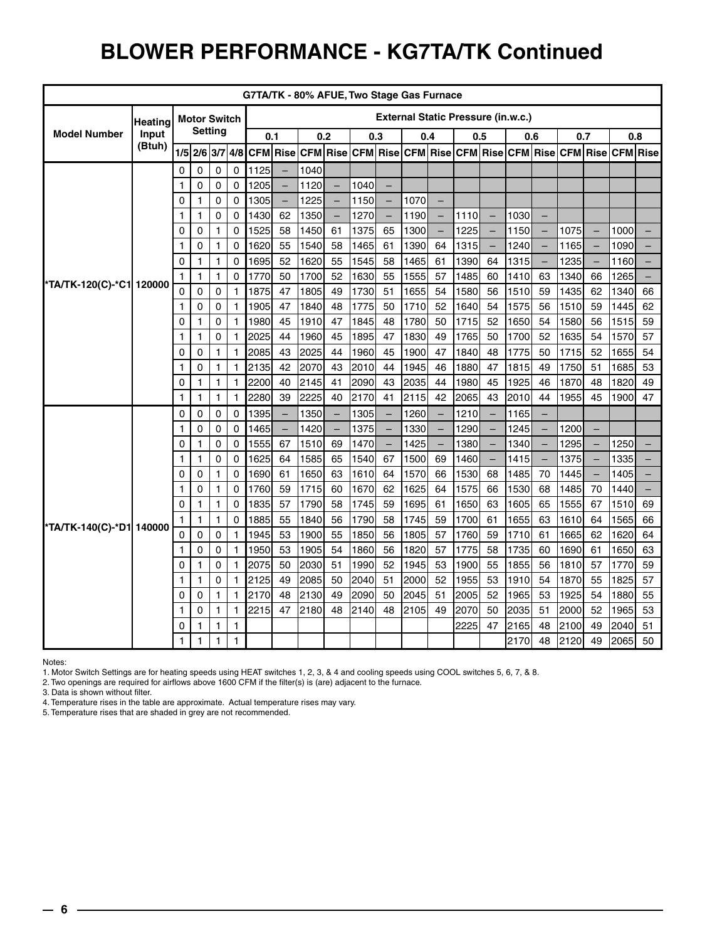### **BLOWER PERFORMANCE - KG7TA/TK Continued**

|                          | G7TA/TK - 80% AFUE, Two Stage Gas Furnace |        |                     |                   |              |              |                   |              |                          |              |                          |                                           |                          |              |                          |              |                          |              |                          |                                                                                  |                   |
|--------------------------|-------------------------------------------|--------|---------------------|-------------------|--------------|--------------|-------------------|--------------|--------------------------|--------------|--------------------------|-------------------------------------------|--------------------------|--------------|--------------------------|--------------|--------------------------|--------------|--------------------------|----------------------------------------------------------------------------------|-------------------|
|                          | Heating                                   |        | <b>Motor Switch</b> |                   |              |              |                   |              |                          |              |                          | <b>External Static Pressure (in.w.c.)</b> |                          |              |                          |              |                          |              |                          |                                                                                  |                   |
| <b>Model Number</b>      | Input                                     |        |                     | <b>Setting</b>    |              | 0.1          |                   |              | 0.2                      | 0.3          |                          | 0.4                                       |                          | 0.5          |                          |              | 0.6                      | 0.7          |                          | 0.8                                                                              |                   |
|                          | (Btuh)                                    |        | $1/5$ 2/6 3/7 4/8   |                   |              |              |                   |              |                          |              |                          |                                           |                          |              |                          |              |                          |              |                          | CFM Rise CFM Rise CFM Rise CFM Rise CFM Rise CFM Rise CFM Rise CFM Rise CFM Rise |                   |
|                          |                                           | 0      | 0                   | 0                 | $\mathbf 0$  | 1125         |                   | 1040         |                          |              |                          |                                           |                          |              |                          |              |                          |              |                          |                                                                                  |                   |
|                          |                                           | 1      | 0                   | 0                 | 0            | 1205         | $\qquad \qquad -$ | 1120         | $\equiv$                 | 1040         | $\equiv$                 |                                           |                          |              |                          |              |                          |              |                          |                                                                                  |                   |
|                          |                                           | 0      | $\mathbf{1}$        | 0                 | 0            | 1305         | ÷                 | 1225         | $\qquad \qquad -$        | 1150         | $\overline{\phantom{a}}$ | 1070                                      | $\overline{\phantom{m}}$ |              |                          |              |                          |              |                          |                                                                                  |                   |
|                          |                                           | 1      | $\mathbf{1}$        | 0                 | 0            | 1430         | 62                | 1350         | $\qquad \qquad -$        | 1270         | $\overline{\phantom{m}}$ | 1190                                      | $\overline{\phantom{m}}$ | 1110l        | $\qquad \qquad -$        | 1030         | $\overline{\phantom{m}}$ |              |                          |                                                                                  |                   |
|                          |                                           | 0      | 0                   | $\mathbf{1}$      | 0            | 1525         | 58                | 1450         | 61                       | 1375         | 65                       | 1300                                      | $\overline{\phantom{0}}$ | 1225         | $\overline{\phantom{0}}$ | 1150         | $\equiv$                 | 1075         | $\overline{\phantom{m}}$ | 1000                                                                             | $\qquad \qquad -$ |
|                          |                                           | 1      | 0                   | $\mathbf{1}$      | 0            | 1620         | 55                | 1540         | 58                       | 1465         | 61                       | 1390                                      | 64                       | 1315         | $\qquad \qquad -$        | 1240         | $\overline{\phantom{m}}$ | 1165         | $\overline{\phantom{a}}$ | 1090                                                                             | $-$               |
|                          |                                           | 0      | $\mathbf{1}$        | $\mathbf{1}$      | 0            | 1695         | 52                | 1620         | 55                       | 1545         | 58                       | 1465                                      | 61                       | 1390         | 64                       | 1315         | $\qquad \qquad -$        | 1235         | $\qquad \qquad -$        | 1160                                                                             | $-$               |
| *TA/TK-120(C)-*C1 120000 |                                           | 1      | $\mathbf{1}$        | $\mathbf{1}$      | 0            | 1770         | 50                | 1700         | 52                       | 1630         | 55                       | 1555                                      | 57                       | 1485         | 60                       | 1410         | 63                       | 1340         | 66                       | 1265                                                                             | $-$               |
|                          |                                           | 0      | 0                   | 0                 | $\mathbf{1}$ | 1875         | 47                | 1805         | 49                       | 1730         | 51                       | 1655                                      | 54                       | 1580         | 56                       | 1510         | 59                       | 1435         | 62                       | 1340                                                                             | 66                |
|                          |                                           | 1      | 0                   | 0                 | $\mathbf{1}$ | 1905         | 47                | 1840         | 48                       | 1775         | 50                       | 1710                                      | 52                       | 1640         | 54                       | 1575         | 56                       | 1510         | 59                       | 1445                                                                             | 62                |
|                          |                                           | 0      | 1                   | 0                 | $\mathbf{1}$ | 1980         | 45                | 1910         | 47                       | 1845         | 48                       | 1780                                      | 50                       | 1715         | 52                       | 1650         | 54                       | 1580         | 56                       | 1515                                                                             | 59                |
|                          |                                           | 1      | 1                   | 0                 | $\mathbf{1}$ | 2025         | 44                | 1960         | 45                       | 1895         | 47                       | 1830                                      | 49                       | 1765         | 50                       | 1700         | 52                       | 1635         | 54                       | 1570                                                                             | 57                |
|                          |                                           | 0      | 0                   | 1                 | $\mathbf{1}$ | 2085         | 43                | 2025         | 44                       | 1960         | 45                       | 1900                                      | 47                       | 1840         | 48                       | 1775         | 50                       | 1715         | 52                       | 1655                                                                             | 54                |
|                          |                                           | 1      | 0                   | 1                 | $\mathbf{1}$ | 2135         | 42                | 2070         | 43                       | 2010         | 44                       | 1945                                      | 46                       | 1880         | 47                       | 1815         | 49                       | 1750         | 51                       | 1685                                                                             | 53                |
|                          |                                           | 0      | $\mathbf{1}$        | $\mathbf{1}$      | $\mathbf{1}$ | 2200         | 40                | 2145         | 41                       | 2090         | 43                       | 2035                                      | 44                       | 1980         | 45                       | 1925         | 46                       | 1870         | 48                       | 1820                                                                             | 49                |
|                          |                                           | 1      | $\mathbf{1}$        | $\mathbf{1}$      | $\mathbf{1}$ | 2280         | 39                | 2225         | 40                       | 2170         | 41                       | 2115                                      | 42                       | 2065         | 43                       | 2010         | 44                       | 1955         | 45                       | 1900                                                                             | 47                |
|                          |                                           | 0      | 0                   | 0                 | 0            | 1395         |                   | 1350         |                          | 1305         |                          | 1260                                      | $\equiv$                 | 1210         |                          | 1165         |                          |              |                          |                                                                                  |                   |
|                          |                                           | 1      | 0                   | 0                 | 0            | 1465         |                   | 1420         | $\overline{\phantom{0}}$ | 1375         |                          | 1330                                      | $\equiv$                 | 1290         |                          | 1245         | $\overline{\phantom{0}}$ | 1200         |                          |                                                                                  |                   |
|                          |                                           | 0      | 1                   | 0                 | 0            | 1555         | 67                | 1510         | 69                       | 1470         |                          | 1425                                      | $-$                      | 1380         |                          | 1340         | $\overline{\phantom{0}}$ | 1295         |                          | 1250                                                                             |                   |
|                          |                                           | 1<br>0 | $\mathbf{1}$<br>0   | 0<br>$\mathbf{1}$ | 0<br>0       | 1625<br>1690 | 64<br>61          | 1585<br>1650 | 65<br>63                 | 1540<br>1610 | 67<br>64                 | 1500<br>1570                              | 69<br>66                 | 1460<br>1530 | 68                       | 1415<br>1485 | $\qquad \qquad -$<br>70  | 1375<br>1445 |                          | 1335<br>1405                                                                     |                   |
|                          |                                           | 1      | 0                   | $\mathbf{1}$      | 0            | 1760         | 59                | 1715         | 60                       | 1670         | 62                       | 1625                                      | 64                       | 1575         | 66                       | 1530         | 68                       | 1485         | 70                       | 1440                                                                             |                   |
|                          |                                           | 0      | $\mathbf{1}$        | $\mathbf{1}$      | 0            | 1835         | 57                | 1790         | 58                       | 1745         | 59                       | 1695                                      | 61                       | 1650         | 63                       | 1605         | 65                       | 1555         | 67                       | 1510                                                                             | 69                |
|                          |                                           | 1      | 1                   | 1                 | 0            | 1885         | 55                | 1840         | 56                       | 1790         | 58                       | 1745                                      | 59                       | 1700         | 61                       | 1655         | 63                       | 1610         | 64                       | 1565                                                                             | 66                |
| *TA/TK-140(C)-*D1 140000 |                                           | 0      | 0                   | 0                 | $\mathbf{1}$ | 1945         | 53                | 1900         | 55                       | 1850         | 56                       | 1805                                      | 57                       | 1760         | 59                       | 1710         | 61                       | 1665         | 62                       | 1620                                                                             | 64                |
|                          |                                           | 1      | 0                   | 0                 | 1            | 1950         | 53                | 1905         | 54                       | 1860         | 56                       | 1820                                      | 57                       | 1775         | 58                       | 1735         | 60                       | 1690         | 61                       | 1650                                                                             | 63                |
|                          |                                           | 0      | 1                   | 0                 | 1            | 2075         | 50                | 2030         | 51                       | 1990         | 52                       | 1945                                      | 53                       | 1900         | 55                       | 1855         | 56                       | 1810         | 57                       | 1770                                                                             | 59                |
|                          |                                           | 1      | 1                   | 0                 | 1            | 2125         | 49                | 2085         | 50                       | 2040         | 51                       | 2000                                      | 52                       | 1955         | 53                       | 1910         | 54                       | 1870         | 55                       | 1825                                                                             | 57                |
|                          |                                           | 0      | 0                   | 1                 | 1            | 2170         | 48                | 2130         | 49                       | 2090         | 50                       | 2045                                      | 51                       | 2005         | 52                       | 1965         | 53                       | 1925         | 54                       | 1880                                                                             | 55                |
|                          |                                           | 1      | 0                   | 1                 | 1            | 2215         | 47                | 2180         | 48                       | 2140         | 48                       | 2105                                      | 49                       | 2070         | 50                       | 2035         | 51                       | 2000         | 52                       | 1965                                                                             | 53                |
|                          |                                           | 0      | 1                   | 1                 | 1            |              |                   |              |                          |              |                          |                                           |                          | 2225         | 47                       | 2165         | 48                       | 2100         | 49                       | 2040                                                                             | 51                |
|                          |                                           | 1      | 1                   | $\mathbf{1}$      | 1            |              |                   |              |                          |              |                          |                                           |                          |              |                          | 2170         | 48                       | 2120         | 49                       | 2065                                                                             | 50                |

Notes:

1. Motor Switch Settings are for heating speeds using HEAT switches 1, 2, 3, & 4 and cooling speeds using COOL switches 5, 6, 7, & 8.

2. Two openings are required for airflows above 1600 CFM if the filter(s) is (are) adjacent to the furnace.

3. Data is shown without filter.

4. Temperature rises in the table are approximate. Actual temperature rises may vary.

5. Temperature rises that are shaded in grey are not recommended.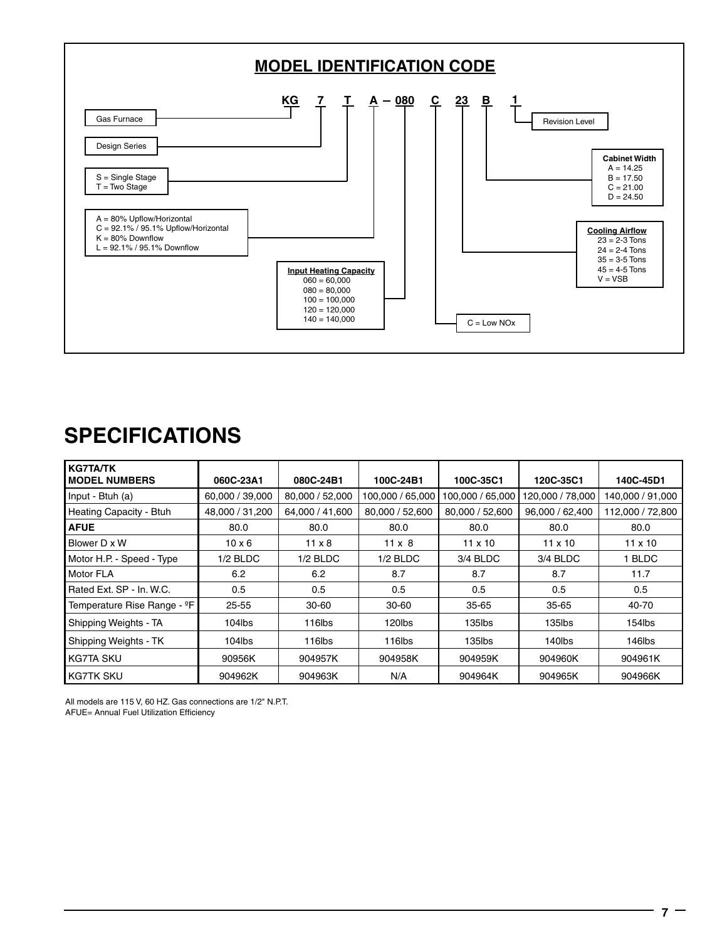

#### **SPECIFICATIONS**

| <b>KG7TA/TK</b><br><b>MODEL NUMBERS</b> | 060C-23A1       | 080C-24B1       | 100C-24B1        | 100C-35C1        | 120C-35C1        | 140C-45D1        |
|-----------------------------------------|-----------------|-----------------|------------------|------------------|------------------|------------------|
| Input - Btuh (a)                        | 60,000 / 39,000 | 80,000 / 52,000 | 100,000 / 65,000 | 100,000 / 65,000 | 120,000 / 78,000 | 140,000 / 91,000 |
| Heating Capacity - Btuh                 | 48,000 / 31,200 | 64,000 / 41,600 | 80,000 / 52,600  | 80,000 / 52,600  | 96,000 / 62,400  | 112,000 / 72,800 |
| <b>AFUE</b>                             | 80.0            | 80.0            | 80.0             | 80.0             | 80.0             | 80.0             |
| Blower D x W                            | $10 \times 6$   | $11 \times 8$   | $11 \times 8$    | $11 \times 10$   | $11 \times 10$   | $11 \times 10$   |
| Motor H.P. - Speed - Type               | $1/2$ BLDC      | $1/2$ BLDC      | $1/2$ BLDC       | 3/4 BLDC         | 3/4 BLDC         | 1 BLDC           |
| Motor FLA                               | 6.2             | 6.2             | 8.7              | 8.7              | 8.7              | 11.7             |
| Rated Ext. SP - In. W.C.                | 0.5             | 0.5             | 0.5              | 0.5              | 0.5              | 0.5              |
| Temperature Rise Range - ºF             | $25 - 55$       | $30 - 60$       | $30 - 60$        | $35 - 65$        | $35 - 65$        | 40-70            |
| Shipping Weights - TA                   | $104$ lbs       | 116lbs          | 120lbs           | 135lbs           | $135$ lbs        | $154$ lbs        |
| Shipping Weights - TK                   | 104lbs          | 116lbs          | 116lbs           | $135$ lbs        | 140lbs           | 146lbs           |
| l KG7TA SKU                             | 90956K          | 904957K         | 904958K          | 904959K          | 904960K          | 904961K          |
| <b>KG7TK SKU</b>                        | 904962K         | 904963K         | N/A              | 904964K          | 904965K          | 904966K          |

All models are 115 V, 60 HZ. Gas connections are 1/2" N.P.T. AFUE= Annual Fuel Utilization Efficiency